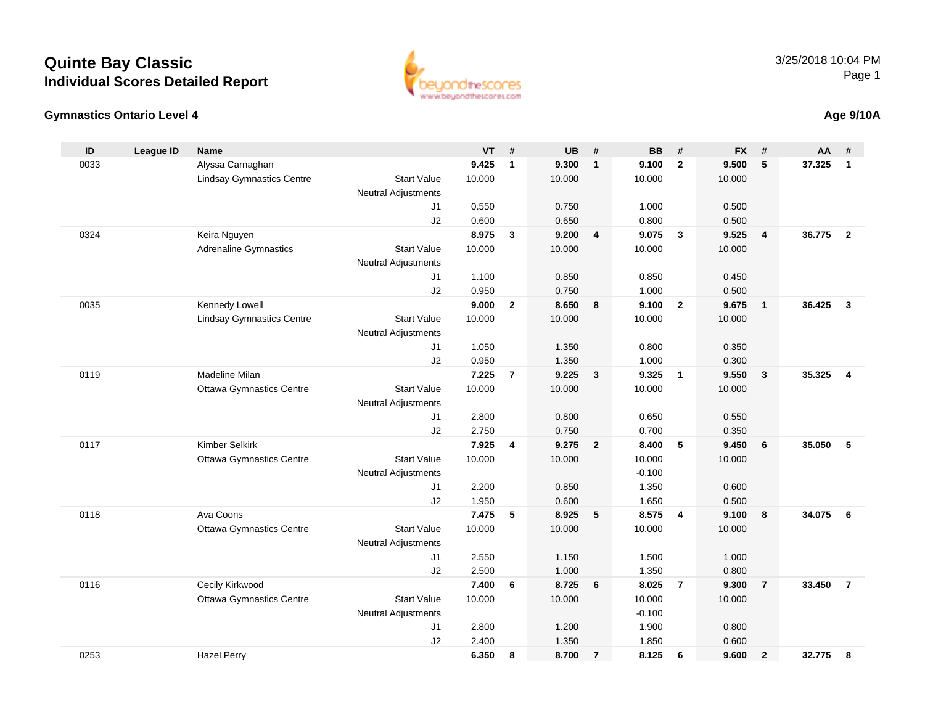#### **Gymnastics Ontario Level 4**

| ID   | <b>League ID</b> | <b>Name</b>                      |                            | <b>VT</b> | #              | <b>UB</b> | #              | <b>BB</b> | #              | <b>FX</b> | #                       | AA     | #                       |
|------|------------------|----------------------------------|----------------------------|-----------|----------------|-----------|----------------|-----------|----------------|-----------|-------------------------|--------|-------------------------|
| 0033 |                  | Alyssa Carnaghan                 |                            | 9.425     | $\mathbf{1}$   | 9.300     | $\mathbf{1}$   | 9.100     | $\overline{2}$ | 9.500     | $5\phantom{.0}$         | 37.325 | $\overline{1}$          |
|      |                  | <b>Lindsay Gymnastics Centre</b> | <b>Start Value</b>         | 10.000    |                | 10.000    |                | 10.000    |                | 10.000    |                         |        |                         |
|      |                  |                                  | <b>Neutral Adjustments</b> |           |                |           |                |           |                |           |                         |        |                         |
|      |                  |                                  | J1                         | 0.550     |                | 0.750     |                | 1.000     |                | 0.500     |                         |        |                         |
|      |                  |                                  | J2                         | 0.600     |                | 0.650     |                | 0.800     |                | 0.500     |                         |        |                         |
| 0324 |                  | Keira Nguyen                     |                            | 8.975     | 3              | 9.200     | 4              | 9.075     | $\mathbf{3}$   | 9.525     | $\overline{4}$          | 36.775 | $\overline{2}$          |
|      |                  | <b>Adrenaline Gymnastics</b>     | <b>Start Value</b>         | 10.000    |                | 10.000    |                | 10.000    |                | 10.000    |                         |        |                         |
|      |                  |                                  | <b>Neutral Adjustments</b> |           |                |           |                |           |                |           |                         |        |                         |
|      |                  |                                  | J1                         | 1.100     |                | 0.850     |                | 0.850     |                | 0.450     |                         |        |                         |
|      |                  |                                  | J2                         | 0.950     |                | 0.750     |                | 1.000     |                | 0.500     |                         |        |                         |
| 0035 |                  | Kennedy Lowell                   |                            | 9.000     | $\overline{2}$ | 8.650     | 8              | 9.100     | $\overline{2}$ | 9.675     | $\overline{1}$          | 36.425 | $\overline{\mathbf{3}}$ |
|      |                  | <b>Lindsay Gymnastics Centre</b> | <b>Start Value</b>         | 10.000    |                | 10.000    |                | 10.000    |                | 10.000    |                         |        |                         |
|      |                  |                                  | <b>Neutral Adjustments</b> |           |                |           |                |           |                |           |                         |        |                         |
|      |                  |                                  | J1                         | 1.050     |                | 1.350     |                | 0.800     |                | 0.350     |                         |        |                         |
|      |                  |                                  | J2                         | 0.950     |                | 1.350     |                | 1.000     |                | 0.300     |                         |        |                         |
| 0119 |                  | <b>Madeline Milan</b>            |                            | 7.225     | $\overline{7}$ | 9.225     | $\mathbf{3}$   | 9.325     | $\mathbf{1}$   | 9.550     | $\overline{\mathbf{3}}$ | 35.325 | $\overline{4}$          |
|      |                  | <b>Ottawa Gymnastics Centre</b>  | <b>Start Value</b>         | 10.000    |                | 10.000    |                | 10.000    |                | 10.000    |                         |        |                         |
|      |                  |                                  | <b>Neutral Adjustments</b> |           |                |           |                |           |                |           |                         |        |                         |
|      |                  |                                  | J1                         | 2.800     |                | 0.800     |                | 0.650     |                | 0.550     |                         |        |                         |
|      |                  |                                  | J2                         | 2.750     |                | 0.750     |                | 0.700     |                | 0.350     |                         |        |                         |
| 0117 |                  | <b>Kimber Selkirk</b>            |                            | 7.925     | 4              | 9.275     | $\overline{2}$ | 8.400     | 5              | 9.450     | 6                       | 35.050 | - 5                     |
|      |                  | <b>Ottawa Gymnastics Centre</b>  | <b>Start Value</b>         | 10.000    |                | 10.000    |                | 10.000    |                | 10.000    |                         |        |                         |
|      |                  |                                  | <b>Neutral Adjustments</b> |           |                |           |                | $-0.100$  |                |           |                         |        |                         |
|      |                  |                                  | J1                         | 2.200     |                | 0.850     |                | 1.350     |                | 0.600     |                         |        |                         |
|      |                  |                                  | J2                         | 1.950     |                | 0.600     |                | 1.650     |                | 0.500     |                         |        |                         |
| 0118 |                  | Ava Coons                        |                            | 7.475     | 5              | 8.925     | 5              | 8.575     | 4              | 9.100     | 8                       | 34.075 | - 6                     |
|      |                  | <b>Ottawa Gymnastics Centre</b>  | <b>Start Value</b>         | 10.000    |                | 10.000    |                | 10.000    |                | 10.000    |                         |        |                         |
|      |                  |                                  | <b>Neutral Adjustments</b> |           |                |           |                |           |                |           |                         |        |                         |
|      |                  |                                  | J1                         | 2.550     |                | 1.150     |                | 1.500     |                | 1.000     |                         |        |                         |
|      |                  |                                  | J2                         | 2.500     |                | 1.000     |                | 1.350     |                | 0.800     |                         |        |                         |
| 0116 |                  | Cecily Kirkwood                  |                            | 7.400     | 6              | 8.725     | 6              | 8.025     | $\overline{7}$ | 9.300     | $\overline{7}$          | 33,450 | $\overline{7}$          |
|      |                  | <b>Ottawa Gymnastics Centre</b>  | <b>Start Value</b>         | 10.000    |                | 10.000    |                | 10.000    |                | 10.000    |                         |        |                         |
|      |                  |                                  | <b>Neutral Adjustments</b> |           |                |           |                | $-0.100$  |                |           |                         |        |                         |
|      |                  |                                  | J1                         | 2.800     |                | 1.200     |                | 1.900     |                | 0.800     |                         |        |                         |
|      |                  |                                  | J2                         | 2.400     |                | 1.350     |                | 1.850     |                | 0.600     |                         |        |                         |
| 0253 |                  | <b>Hazel Perry</b>               |                            | 6.350     | 8              | 8.700     | $\overline{7}$ | 8.125     | 6              | 9.600     | $\overline{2}$          | 32.775 | 8                       |



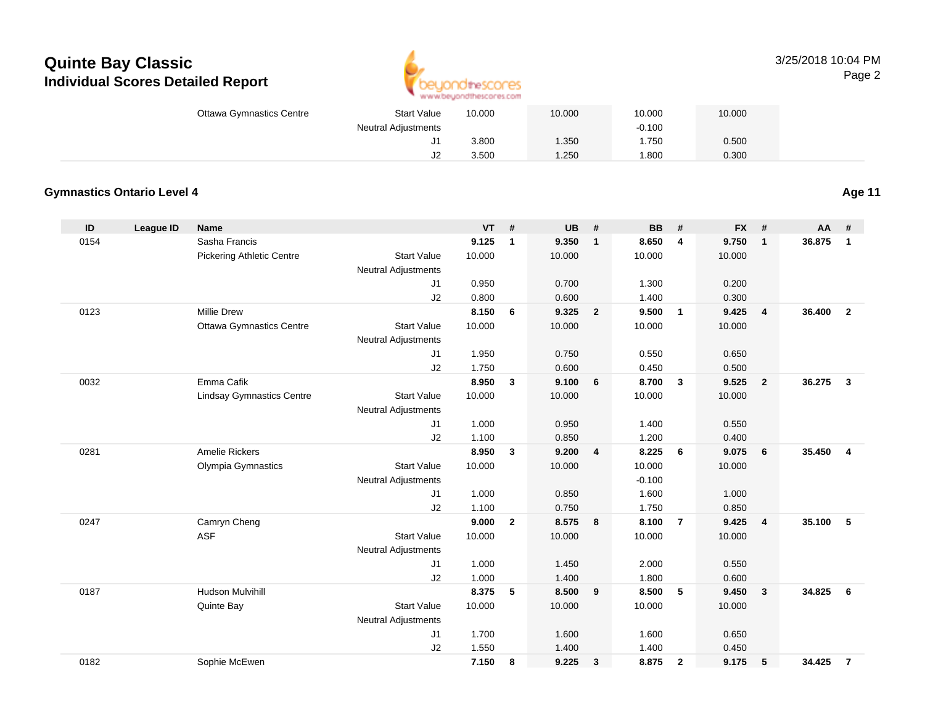

|                                 |                            | An an agreement of the resource and in the model of |        |          |        |
|---------------------------------|----------------------------|-----------------------------------------------------|--------|----------|--------|
| <b>Ottawa Gymnastics Centre</b> | <b>Start Value</b>         | 10.000                                              | 10.000 | 10.000   | 10.000 |
|                                 | <b>Neutral Adjustments</b> |                                                     |        | $-0.100$ |        |
|                                 | ັບ                         | 3.800                                               | 1.350  | 1.750    | 0.500  |
|                                 | J2                         | 3.500                                               | 1.250  | 1.800    | 0.300  |

#### **Gymnastics Ontario Level 4**

0182

**ID League ID Name VT # UB # BB # FX # AA #** 0154 Sasha Francis **9.125 <sup>1</sup> 9.350 <sup>1</sup> 8.650 <sup>4</sup> 9.750 <sup>1</sup> 36.875 <sup>1</sup>** Pickering Athletic Centre Start Value 10.000 10.000 10.000 10.000 Neutral Adjustments J1 0.950 0.700 1.300 0.200 J2 0.800 0.600 1.400 0.300 0123 Millie Drew **8.150 <sup>6</sup> 9.325 <sup>2</sup> 9.500 <sup>1</sup> 9.425 <sup>4</sup> 36.400 <sup>2</sup>** Ottawa Gymnastics Centre Start Value 10.000 10.000 10.000 10.000 Neutral Adjustments J1 1.950 0.750 0.550 0.650 J2 1.750 0.600 0.450 0.500 0032 Emma Cafik **8.950 <sup>3</sup> 9.100 <sup>6</sup> 8.700 <sup>3</sup> 9.525 <sup>2</sup> 36.275 <sup>3</sup>** Lindsay Gymnastics Centre Start Value 10.000 10.000 10.000 10.000 Neutral Adjustments J1 1.000 0.950 1.400 0.550 J2 1.100 0.850 1.200 0.400 0281 Amelie Rickers **8.950 <sup>3</sup> 9.200 <sup>4</sup> 8.225 <sup>6</sup> 9.075 <sup>6</sup> 35.450 <sup>4</sup>** Olympia Gymnastics Start Valuee 10.000 10.000 10.000 10.000 Neutral Adjustments $-0.100$ 1.600 J1 1.000 0.850 1.600 1.000 J2 1.100 0.750 1.750 0.850 0247 Camryn Cheng **9.000 <sup>2</sup> 8.575 <sup>8</sup> 8.100 <sup>7</sup> 9.425 <sup>4</sup> 35.100 <sup>5</sup>** ASF**F** 10.000 10.000 10.000 10.000 10.000 10.000 Neutral Adjustments J1 1.000 1.450 2.000 0.550 J2 1.000 1.400 1.800 0.600 0187 Hudson Mulvihill **8.375 <sup>5</sup> 8.500 <sup>9</sup> 8.500 <sup>5</sup> 9.450 <sup>3</sup> 34.825 <sup>6</sup>** Quinte Bay Start Valuee 10.000 10.000 10.000 10.000 Neutral Adjustments J1 1.700 1.600 1.600 0.650 J21.550 1.400 1.400 0.450

Sophie McEwen **7.150 <sup>8</sup> 9.225 <sup>3</sup> 8.875 <sup>2</sup> 9.175 <sup>5</sup> 34.425 <sup>7</sup>**

**Age 11**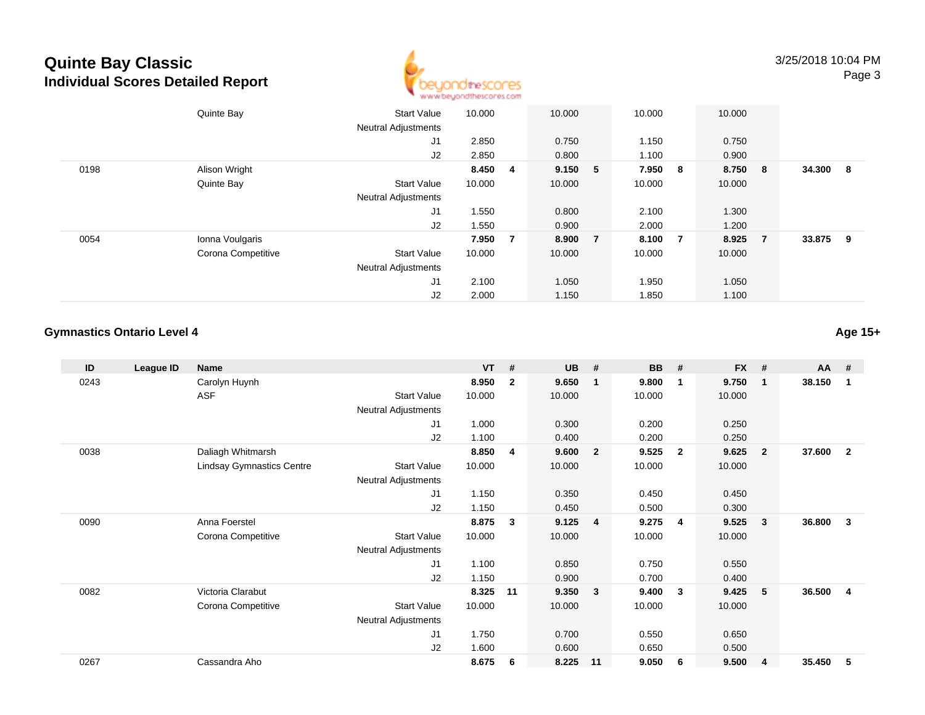

|      | Quinte Bay         | <b>Start Value</b><br><b>Neutral Adjustments</b> | 10.000  |                | 10.000  | 10.000 |                         | 10.000  |                |        |                         |
|------|--------------------|--------------------------------------------------|---------|----------------|---------|--------|-------------------------|---------|----------------|--------|-------------------------|
|      |                    | J1                                               | 2.850   |                | 0.750   | 1.150  |                         | 0.750   |                |        |                         |
|      |                    | J2                                               | 2.850   |                | 0.800   | 1.100  |                         | 0.900   |                |        |                         |
| 0198 | Alison Wright      |                                                  | 8.450 4 |                | 9.150 5 | 7.950  | $\overline{\mathbf{8}}$ | 8.750 8 |                | 34.300 | $\overline{\mathbf{8}}$ |
|      | Quinte Bay         | <b>Start Value</b>                               | 10.000  |                | 10.000  | 10.000 |                         | 10.000  |                |        |                         |
|      |                    | <b>Neutral Adjustments</b>                       |         |                |         |        |                         |         |                |        |                         |
|      |                    | J1                                               | 1.550   |                | 0.800   | 2.100  |                         | 1.300   |                |        |                         |
|      |                    | J2                                               | 1.550   |                | 0.900   | 2.000  |                         | 1.200   |                |        |                         |
| 0054 | Ionna Voulgaris    |                                                  | 7.950   | $\overline{7}$ | 8.900 7 | 8.100  | $\overline{7}$          | 8.925   | $\overline{7}$ | 33.875 | - 9                     |
|      | Corona Competitive | <b>Start Value</b>                               | 10.000  |                | 10.000  | 10.000 |                         | 10.000  |                |        |                         |
|      |                    | <b>Neutral Adjustments</b>                       |         |                |         |        |                         |         |                |        |                         |
|      |                    | J <sub>1</sub>                                   | 2.100   |                | 1.050   | 1.950  |                         | 1.050   |                |        |                         |
|      |                    | J2                                               | 2.000   |                | 1.150   | 1.850  |                         | 1.100   |                |        |                         |

### **Gymnastics Ontario Level 4**

| ID   | League ID | <b>Name</b>                      |                            | <b>VT</b> | #            | <b>UB</b> | #              | <b>BB</b> | #              | <b>FX</b> | #              | AA     | #              |
|------|-----------|----------------------------------|----------------------------|-----------|--------------|-----------|----------------|-----------|----------------|-----------|----------------|--------|----------------|
| 0243 |           | Carolyn Huynh                    |                            | 8.950     | $\mathbf{2}$ | 9.650     | $\mathbf 1$    | 9.800     | $\mathbf 1$    | 9.750     | -1             | 38.150 | $\overline{1}$ |
|      |           | <b>ASF</b>                       | <b>Start Value</b>         | 10.000    |              | 10.000    |                | 10.000    |                | 10.000    |                |        |                |
|      |           |                                  | <b>Neutral Adjustments</b> |           |              |           |                |           |                |           |                |        |                |
|      |           |                                  | J1                         | 1.000     |              | 0.300     |                | 0.200     |                | 0.250     |                |        |                |
|      |           |                                  | J2                         | 1.100     |              | 0.400     |                | 0.200     |                | 0.250     |                |        |                |
| 0038 |           | Daliagh Whitmarsh                |                            | 8.850     | 4            | 9.600     | $\overline{2}$ | 9.525     | $\overline{2}$ | 9.625     | $\overline{2}$ | 37.600 | $\overline{2}$ |
|      |           | <b>Lindsay Gymnastics Centre</b> | <b>Start Value</b>         | 10.000    |              | 10.000    |                | 10.000    |                | 10.000    |                |        |                |
|      |           |                                  | <b>Neutral Adjustments</b> |           |              |           |                |           |                |           |                |        |                |
|      |           |                                  | J <sub>1</sub>             | 1.150     |              | 0.350     |                | 0.450     |                | 0.450     |                |        |                |
|      |           |                                  | J2                         | 1.150     |              | 0.450     |                | 0.500     |                | 0.300     |                |        |                |
| 0090 |           | Anna Foerstel                    |                            | 8.875     | 3            | 9.125     | $\overline{4}$ | 9.275     | $\overline{4}$ | 9.525     | - 3            | 36.800 | $\mathbf{3}$   |
|      |           | Corona Competitive               | <b>Start Value</b>         | 10.000    |              | 10.000    |                | 10.000    |                | 10.000    |                |        |                |
|      |           |                                  | Neutral Adjustments        |           |              |           |                |           |                |           |                |        |                |
|      |           |                                  | J1                         | 1.100     |              | 0.850     |                | 0.750     |                | 0.550     |                |        |                |
|      |           |                                  | J2                         | 1.150     |              | 0.900     |                | 0.700     |                | 0.400     |                |        |                |
| 0082 |           | Victoria Clarabut                |                            | 8.325     | 11           | 9.350     | $\mathbf{3}$   | 9.400     | $\mathbf{3}$   | 9.425     | 5              | 36.500 | -4             |
|      |           | Corona Competitive               | <b>Start Value</b>         | 10.000    |              | 10.000    |                | 10.000    |                | 10.000    |                |        |                |
|      |           |                                  | <b>Neutral Adjustments</b> |           |              |           |                |           |                |           |                |        |                |
|      |           |                                  | J <sub>1</sub>             | 1.750     |              | 0.700     |                | 0.550     |                | 0.650     |                |        |                |
|      |           |                                  | J <sub>2</sub>             | 1.600     |              | 0.600     |                | 0.650     |                | 0.500     |                |        |                |
| 0267 |           | Cassandra Aho                    |                            | 8.675     | 6            | 8.225     | 11             | 9.050     | 6              | 9.500     | $\overline{4}$ | 35.450 | 5              |

**Age 15+**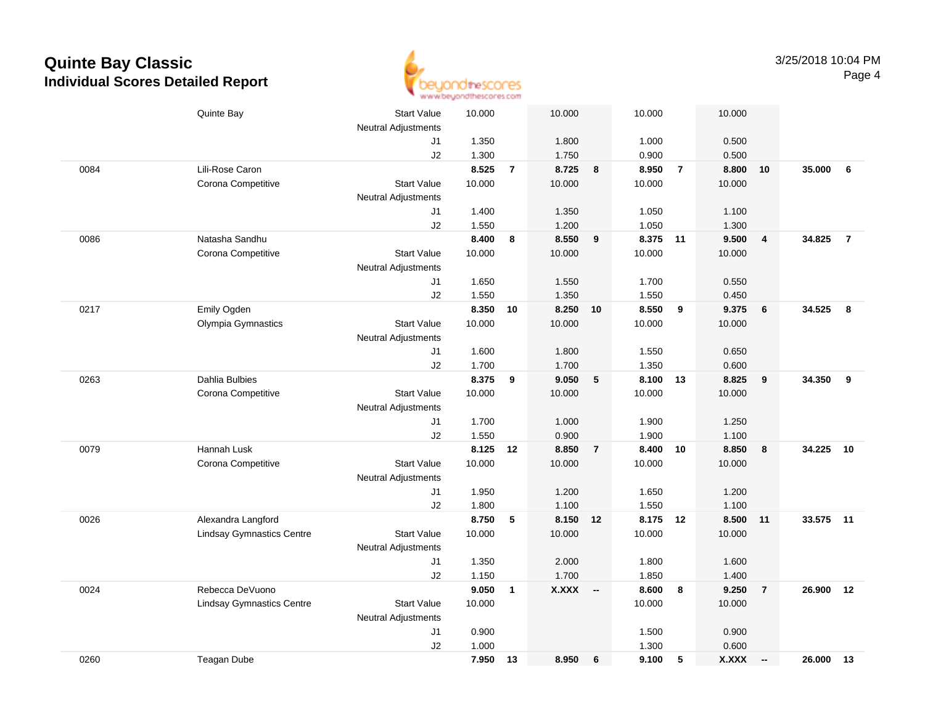

|      | Quinte Bay                       | <b>Start Value</b>               | 10.000          |                | 10.000          |                | 10.000             |                | 10.000       |                 |           |                |
|------|----------------------------------|----------------------------------|-----------------|----------------|-----------------|----------------|--------------------|----------------|--------------|-----------------|-----------|----------------|
|      |                                  | <b>Neutral Adjustments</b>       |                 |                |                 |                |                    |                |              |                 |           |                |
|      |                                  | J1                               | 1.350           |                | 1.800           |                | 1.000              |                | 0.500        |                 |           |                |
|      |                                  | J2                               | 1.300           |                | 1.750           |                | 0.900              |                | 0.500        |                 |           |                |
| 0084 | Lili-Rose Caron                  |                                  | 8.525           | $\overline{7}$ | 8.725           | 8              | 8.950              | $\overline{7}$ | 8.800        | 10              | 35.000    | 6              |
|      | Corona Competitive               | <b>Start Value</b>               | 10.000          |                | 10.000          |                | 10.000             |                | 10.000       |                 |           |                |
|      |                                  | <b>Neutral Adjustments</b><br>J1 | 1.400           |                | 1.350           |                | 1.050              |                | 1.100        |                 |           |                |
|      |                                  | J2                               | 1.550           |                | 1.200           |                | 1.050              |                | 1.300        |                 |           |                |
| 0086 | Natasha Sandhu                   |                                  | 8.400           | 8              | 8.550           | 9              | 8.375              | 11             | 9.500        | 4               | 34.825    | $\overline{7}$ |
|      | Corona Competitive               | <b>Start Value</b>               | 10.000          |                | 10.000          |                | 10.000             |                | 10.000       |                 |           |                |
|      |                                  | <b>Neutral Adjustments</b>       |                 |                |                 |                |                    |                |              |                 |           |                |
|      |                                  | J1                               | 1.650           |                | 1.550           |                | 1.700              |                | 0.550        |                 |           |                |
|      |                                  | J2                               | 1.550           |                | 1.350           |                | 1.550              |                | 0.450        |                 |           |                |
| 0217 | Emily Ogden                      |                                  | 8.350           | 10             | 8.250 10        |                | 8.550              | 9              | 9.375        | $6\phantom{1}6$ | 34.525    | 8              |
|      | Olympia Gymnastics               | <b>Start Value</b>               | 10.000          |                | 10.000          |                | 10.000             |                | 10.000       |                 |           |                |
|      |                                  | <b>Neutral Adjustments</b>       |                 |                |                 |                |                    |                |              |                 |           |                |
|      |                                  | J1                               | 1.600           |                | 1.800           |                | 1.550              |                | 0.650        |                 |           |                |
|      |                                  | J2                               | 1.700           |                | 1.700           |                | 1.350              |                | 0.600        |                 |           |                |
| 0263 | <b>Dahlia Bulbies</b>            |                                  | 8.375           | 9              | 9.050           | 5              | 8.100              | 13             | 8.825        | 9               | 34.350    | 9              |
|      | Corona Competitive               | <b>Start Value</b>               | 10.000          |                | 10.000          |                | 10.000             |                | 10.000       |                 |           |                |
|      |                                  | <b>Neutral Adjustments</b>       |                 |                |                 |                |                    |                |              |                 |           |                |
|      |                                  | J1                               | 1.700           |                | 1.000           |                | 1.900              |                | 1.250        |                 |           |                |
|      |                                  | J2                               | 1.550           |                | 0.900           |                | 1.900              |                | 1.100        |                 |           |                |
| 0079 | Hannah Lusk                      | <b>Start Value</b>               | 8.125<br>10.000 | 12             | 8.850<br>10.000 | $\overline{7}$ | 8.400 10<br>10.000 |                | 8.850        | 8               | 34.225    | 10             |
|      | Corona Competitive               | <b>Neutral Adjustments</b>       |                 |                |                 |                |                    |                | 10.000       |                 |           |                |
|      |                                  | J1                               | 1.950           |                | 1.200           |                | 1.650              |                | 1.200        |                 |           |                |
|      |                                  | J2                               | 1.800           |                | 1.100           |                | 1.550              |                | 1.100        |                 |           |                |
| 0026 | Alexandra Langford               |                                  | 8.750           | 5              | 8.150           | 12             | 8.175 12           |                | 8.500        | 11              | 33.575 11 |                |
|      | <b>Lindsay Gymnastics Centre</b> | <b>Start Value</b>               | 10.000          |                | 10.000          |                | 10.000             |                | 10.000       |                 |           |                |
|      |                                  | <b>Neutral Adjustments</b>       |                 |                |                 |                |                    |                |              |                 |           |                |
|      |                                  | J1                               | 1.350           |                | 2.000           |                | 1.800              |                | 1.600        |                 |           |                |
|      |                                  | J2                               | 1.150           |                | 1.700           |                | 1.850              |                | 1.400        |                 |           |                |
| 0024 | Rebecca DeVuono                  |                                  | 9.050           | $\mathbf{1}$   | X.XXX --        |                | 8.600              | 8              | 9.250        | $\overline{7}$  | 26.900    | 12             |
|      | <b>Lindsay Gymnastics Centre</b> | <b>Start Value</b>               | 10.000          |                |                 |                | 10.000             |                | 10.000       |                 |           |                |
|      |                                  | <b>Neutral Adjustments</b>       |                 |                |                 |                |                    |                |              |                 |           |                |
|      |                                  | J1                               | 0.900           |                |                 |                | 1.500              |                | 0.900        |                 |           |                |
|      |                                  | J2                               | 1.000           |                |                 |                | 1.300              |                | 0.600        |                 |           |                |
| 0260 | Teagan Dube                      |                                  | 7.950           | 13             | 8.950           | 6              | 9.100              | 5              | <b>X.XXX</b> | $\sim$          | 26.000    | 13             |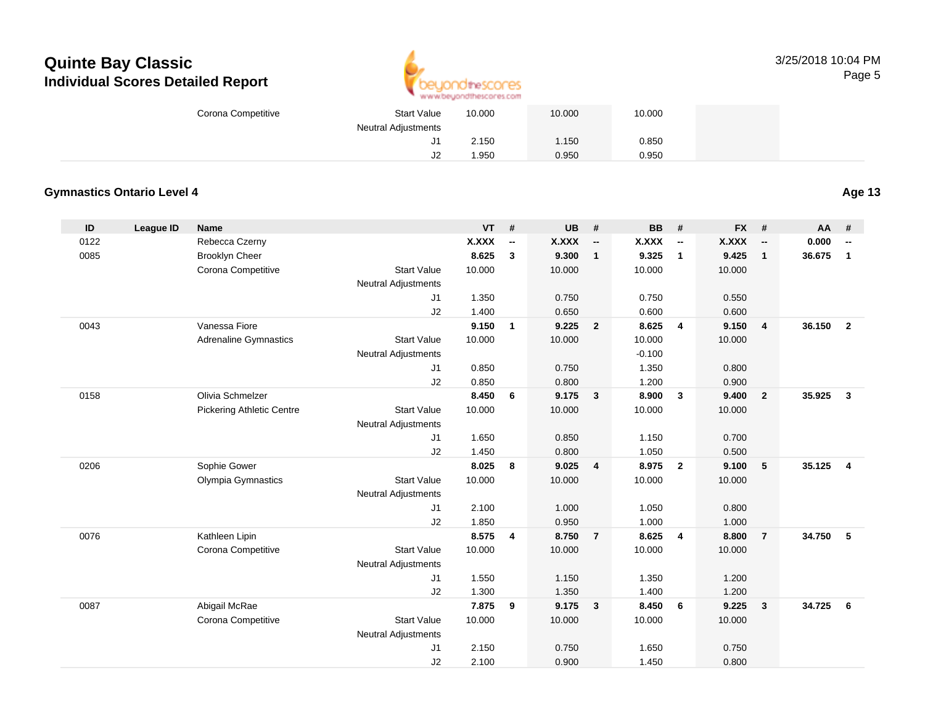

| Corona Competitive | <b>Start Value</b>         | 10.000 | 10.000 | 10.000 |  |
|--------------------|----------------------------|--------|--------|--------|--|
|                    | <b>Neutral Adjustments</b> |        |        |        |  |
|                    | ັບ                         | 2.150  | 1.150  | 0.850  |  |
|                    | $\overline{1}$<br>∠ل       | .950   | 0.950  | 0.950  |  |

## **Gymnastics Ontario Level 4**

**Age 13**

| ID   | <b>League ID</b> | <b>Name</b>                      |                            | <b>VT</b>    | #              | <b>UB</b>    | #                        | <b>BB</b>    | #                        | <b>FX</b>    | #                        | AA     | #                        |
|------|------------------|----------------------------------|----------------------------|--------------|----------------|--------------|--------------------------|--------------|--------------------------|--------------|--------------------------|--------|--------------------------|
| 0122 |                  | Rebecca Czerny                   |                            | <b>X.XXX</b> | --             | <b>X.XXX</b> | $\overline{\phantom{a}}$ | <b>X.XXX</b> | $\overline{\phantom{a}}$ | <b>X.XXX</b> | $\overline{\phantom{a}}$ | 0.000  | $\overline{\phantom{a}}$ |
| 0085 |                  | <b>Brooklyn Cheer</b>            |                            | 8.625        | $\mathbf{3}$   | 9.300        | $\mathbf{1}$             | 9.325        | $\mathbf{1}$             | 9.425        | $\mathbf{1}$             | 36.675 | $\mathbf{1}$             |
|      |                  | Corona Competitive               | <b>Start Value</b>         | 10.000       |                | 10.000       |                          | 10.000       |                          | 10.000       |                          |        |                          |
|      |                  |                                  | <b>Neutral Adjustments</b> |              |                |              |                          |              |                          |              |                          |        |                          |
|      |                  |                                  | J1                         | 1.350        |                | 0.750        |                          | 0.750        |                          | 0.550        |                          |        |                          |
|      |                  |                                  | J2                         | 1.400        |                | 0.650        |                          | 0.600        |                          | 0.600        |                          |        |                          |
| 0043 |                  | Vanessa Fiore                    |                            | 9.150        | $\mathbf{1}$   | 9.225        | $\overline{2}$           | 8.625        | $\overline{4}$           | 9.150        | $\overline{\mathbf{4}}$  | 36.150 | $\overline{2}$           |
|      |                  | <b>Adrenaline Gymnastics</b>     | <b>Start Value</b>         | 10.000       |                | 10.000       |                          | 10.000       |                          | 10.000       |                          |        |                          |
|      |                  |                                  | <b>Neutral Adjustments</b> |              |                |              |                          | $-0.100$     |                          |              |                          |        |                          |
|      |                  |                                  | J1                         | 0.850        |                | 0.750        |                          | 1.350        |                          | 0.800        |                          |        |                          |
|      |                  |                                  | J2                         | 0.850        |                | 0.800        |                          | 1.200        |                          | 0.900        |                          |        |                          |
| 0158 |                  | Olivia Schmelzer                 |                            | 8.450        | 6              | 9.175        | $\overline{\mathbf{3}}$  | 8.900        | $\mathbf{3}$             | 9.400        | $\overline{2}$           | 35.925 | $\mathbf{3}$             |
|      |                  | <b>Pickering Athletic Centre</b> | <b>Start Value</b>         | 10.000       |                | 10.000       |                          | 10.000       |                          | 10.000       |                          |        |                          |
|      |                  |                                  | <b>Neutral Adjustments</b> |              |                |              |                          |              |                          |              |                          |        |                          |
|      |                  |                                  | J <sub>1</sub>             | 1.650        |                | 0.850        |                          | 1.150        |                          | 0.700        |                          |        |                          |
|      |                  |                                  | J2                         | 1.450        |                | 0.800        |                          | 1.050        |                          | 0.500        |                          |        |                          |
| 0206 |                  | Sophie Gower                     |                            | 8.025        | 8              | 9.025        | $\overline{4}$           | 8.975        | $\overline{2}$           | 9.100        | 5                        | 35.125 | 4                        |
|      |                  | Olympia Gymnastics               | <b>Start Value</b>         | 10.000       |                | 10.000       |                          | 10.000       |                          | 10.000       |                          |        |                          |
|      |                  |                                  | <b>Neutral Adjustments</b> |              |                |              |                          |              |                          |              |                          |        |                          |
|      |                  |                                  | J <sub>1</sub>             | 2.100        |                | 1.000        |                          | 1.050        |                          | 0.800        |                          |        |                          |
|      |                  |                                  | J2                         | 1.850        |                | 0.950        |                          | 1.000        |                          | 1.000        |                          |        |                          |
| 0076 |                  | Kathleen Lipin                   |                            | 8.575        | $\overline{4}$ | 8.750        | $\overline{7}$           | 8.625        | $\overline{4}$           | 8.800        | $\overline{7}$           | 34.750 | 5                        |
|      |                  | Corona Competitive               | <b>Start Value</b>         | 10.000       |                | 10.000       |                          | 10.000       |                          | 10.000       |                          |        |                          |
|      |                  |                                  | <b>Neutral Adjustments</b> |              |                |              |                          |              |                          |              |                          |        |                          |
|      |                  |                                  | J <sub>1</sub>             | 1.550        |                | 1.150        |                          | 1.350        |                          | 1.200        |                          |        |                          |
|      |                  |                                  | J2                         | 1.300        |                | 1.350        |                          | 1.400        |                          | 1.200        |                          |        |                          |
| 0087 |                  | Abigail McRae                    |                            | 7.875        | 9              | 9.175        | $\overline{\mathbf{3}}$  | 8.450        | 6                        | 9.225        | $\mathbf{3}$             | 34.725 | 6                        |
|      |                  | Corona Competitive               | <b>Start Value</b>         | 10.000       |                | 10.000       |                          | 10.000       |                          | 10.000       |                          |        |                          |
|      |                  |                                  | <b>Neutral Adjustments</b> |              |                |              |                          |              |                          |              |                          |        |                          |
|      |                  |                                  | J1                         | 2.150        |                | 0.750        |                          | 1.650        |                          | 0.750        |                          |        |                          |
|      |                  |                                  | J2                         | 2.100        |                | 0.900        |                          | 1.450        |                          | 0.800        |                          |        |                          |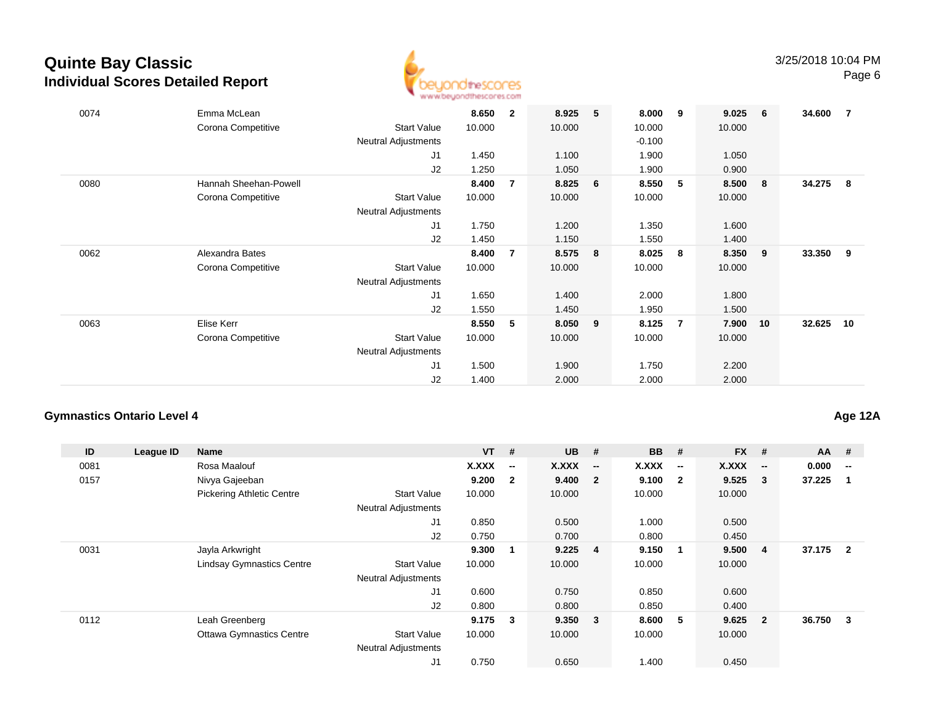

| 0074 | Emma McLean<br>Corona Competitive           | <b>Start Value</b><br>Neutral Adjustments<br>J1<br>J2        | 8.650<br>10.000<br>1.450<br>1.250 | $\overline{2}$ | 8.925<br>10.000<br>1.100<br>1.050 | 5  | 8.000<br>10.000<br>$-0.100$<br>1.900<br>1.900 | 9   | 9.025<br>10.000<br>1.050<br>0.900 | 6   | 34.600 | $\overline{7}$ |
|------|---------------------------------------------|--------------------------------------------------------------|-----------------------------------|----------------|-----------------------------------|----|-----------------------------------------------|-----|-----------------------------------|-----|--------|----------------|
| 0080 | Hannah Sheehan-Powell<br>Corona Competitive | <b>Start Value</b><br>Neutral Adjustments<br>J1<br>J2        | 8.400<br>10.000<br>1.750<br>1.450 | 7              | 8.825<br>10.000<br>1.200<br>1.150 | 6  | 8.550<br>10.000<br>1.350<br>1.550             | 5   | 8.500<br>10.000<br>1.600<br>1.400 | - 8 | 34.275 | - 8            |
| 0062 | Alexandra Bates<br>Corona Competitive       | <b>Start Value</b><br><b>Neutral Adjustments</b><br>J1<br>J2 | 8.400<br>10.000<br>1.650<br>1.550 | 7              | 8.575<br>10.000<br>1.400<br>1.450 | -8 | 8.025<br>10.000<br>2.000<br>1.950             | - 8 | 8.350<br>10.000<br>1.800<br>1.500 | 9   | 33.350 | - 9            |
| 0063 | Elise Kerr<br>Corona Competitive            | <b>Start Value</b><br><b>Neutral Adjustments</b><br>J1<br>J2 | 8.550<br>10.000<br>1.500<br>1.400 | 5              | 8.050<br>10.000<br>1.900<br>2.000 | 9  | 8.125<br>10.000<br>1.750<br>2.000             | 7   | 7.900<br>10.000<br>2.200<br>2.000 | 10  | 32.625 | 10             |

#### **Gymnastics Ontario Level 4**

**ID League ID Name VT # UB # BB # FX # AA #** 0081 Rosa Maalouf **X.XXX -- X.XXX -- X.XXX -- X.XXX -- 0.000 --** 0157 Nivya Gajeeban **9.200 <sup>2</sup> 9.400 <sup>2</sup> 9.100 <sup>2</sup> 9.525 <sup>3</sup> 37.225 <sup>1</sup>** Pickering Athletic Centre Start Value 10.000 10.000 10.000 10.000 Neutral Adjustments J1 0.850 0.500 1.000 0.500 J2 0.750 0.700 0.800 0.450 0031 Jayla Arkwright **9.300 <sup>1</sup> 9.225 <sup>4</sup> 9.150 <sup>1</sup> 9.500 <sup>4</sup> 37.175 <sup>2</sup>** Lindsay Gymnastics Centre Start Value 10.000 10.000 10.000 10.000 Neutral Adjustments J1 0.600 0.750 0.850 0.600 J2 0.800 0.800 0.850 0.400 0112 Leah Greenberg **9.175 <sup>3</sup> 9.350 <sup>3</sup> 8.600 <sup>5</sup> 9.625 <sup>2</sup> 36.750 <sup>3</sup>** Ottawa Gymnastics Centre Start Value 10.000 10.000 10.000 10.000 Neutral Adjustments J10.750 0.650 1.400 0.450

**Age 12A**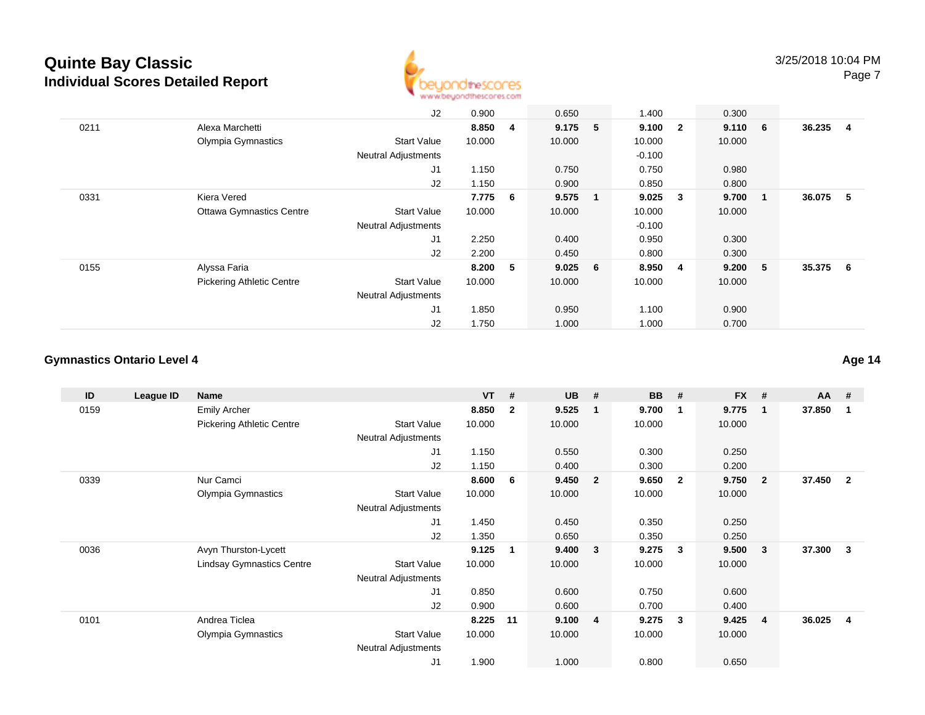

|      |                                  | J2                         | 0.900  |                | 0.650     |              | 1.400    |                | 0.300        |                         |          |     |
|------|----------------------------------|----------------------------|--------|----------------|-----------|--------------|----------|----------------|--------------|-------------------------|----------|-----|
| 0211 | Alexa Marchetti                  |                            | 8.850  | $\overline{4}$ | 9.175     | 5            | 9.100    | $\overline{2}$ | $9.110 \t 6$ |                         | 36.235   | - 4 |
|      | Olympia Gymnastics               | <b>Start Value</b>         | 10.000 |                | 10.000    |              | 10.000   |                | 10.000       |                         |          |     |
|      |                                  | <b>Neutral Adjustments</b> |        |                |           |              | $-0.100$ |                |              |                         |          |     |
|      |                                  | J <sub>1</sub>             | 1.150  |                | 0.750     |              | 0.750    |                | 0.980        |                         |          |     |
|      |                                  | J2                         | 1.150  |                | 0.900     |              | 0.850    |                | 0.800        |                         |          |     |
| 0331 | Kiera Vered                      |                            | 7.775  | 6              | 9.575     | $\mathbf{1}$ | 9.025    | 3              | 9.700        | $\overline{\mathbf{1}}$ | 36.075 5 |     |
|      | <b>Ottawa Gymnastics Centre</b>  | <b>Start Value</b>         | 10.000 |                | 10.000    |              | 10.000   |                | 10.000       |                         |          |     |
|      |                                  | <b>Neutral Adjustments</b> |        |                |           |              | $-0.100$ |                |              |                         |          |     |
|      |                                  | J1                         | 2.250  |                | 0.400     |              | 0.950    |                | 0.300        |                         |          |     |
|      |                                  | J2                         | 2.200  |                | 0.450     |              | 0.800    |                | 0.300        |                         |          |     |
| 0155 | Alyssa Faria                     |                            | 8.200  | 5              | $9.025$ 6 |              | 8.950    | -4             | 9.200 5      |                         | 35.375 6 |     |
|      | <b>Pickering Athletic Centre</b> | <b>Start Value</b>         | 10.000 |                | 10.000    |              | 10.000   |                | 10.000       |                         |          |     |
|      |                                  | <b>Neutral Adjustments</b> |        |                |           |              |          |                |              |                         |          |     |
|      |                                  | J <sub>1</sub>             | 1.850  |                | 0.950     |              | 1.100    |                | 0.900        |                         |          |     |
|      |                                  | J2                         | 1.750  |                | 1.000     |              | 1.000    |                | 0.700        |                         |          |     |

#### **Gymnastics Ontario Level 4**

**ID League ID Name VT # UB # BB # FX # AA #** 0159 Emily Archer **8.850 <sup>2</sup> 9.525 <sup>1</sup> 9.700 <sup>1</sup> 9.775 <sup>1</sup> 37.850 <sup>1</sup>** Pickering Athletic Centre Start Value 10.000 10.000 10.000 10.000 Neutral Adjustments J1 1.150 0.550 0.300 0.250 J2 1.150 0.400 0.300 0.200 0339 Nur Camci **8.600 <sup>6</sup> 9.450 <sup>2</sup> 9.650 <sup>2</sup> 9.750 <sup>2</sup> 37.450 <sup>2</sup>** Olympia Gymnastics Start Valuee 10.000 10.000 10.000 10.000 Neutral Adjustments J1 1.450 0.450 0.350 0.250 J2 1.350 0.650 0.350 0.250 0036 Avyn Thurston-Lycett **9.125 <sup>1</sup> 9.400 <sup>3</sup> 9.275 <sup>3</sup> 9.500 <sup>3</sup> 37.300 <sup>3</sup>** Lindsay Gymnastics Centre Start Value 10.000 10.000 10.000 10.000 Neutral Adjustments J1 0.850 0.600 0.750 0.600 J2 0.900 0.600 0.700 0.400 0101 Andrea Ticlea **8.225 <sup>11</sup> 9.100 <sup>4</sup> 9.275 <sup>3</sup> 9.425 <sup>4</sup> 36.025 <sup>4</sup>** Olympia Gymnastics Start Valuee 10.000 10.000 10.000 10.000 Neutral Adjustments J11.900 1.000 0.800 0.650

**Age 14**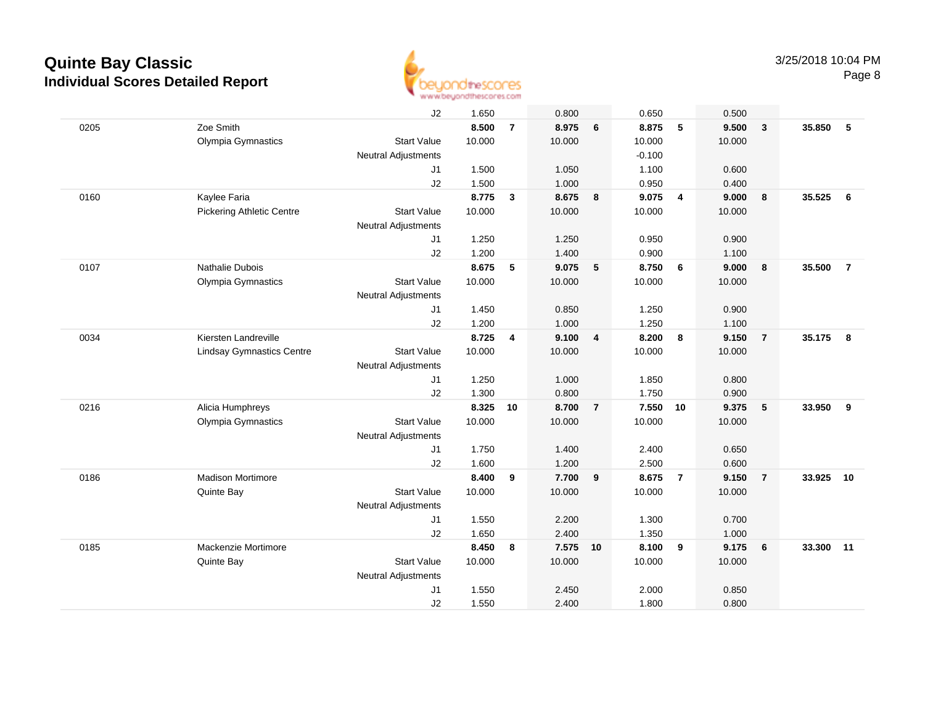

|      |                                  | J2                  | 1.650  |                | 0.800    |                | 0.650    |                         | 0.500  |                         |        |                         |
|------|----------------------------------|---------------------|--------|----------------|----------|----------------|----------|-------------------------|--------|-------------------------|--------|-------------------------|
| 0205 | Zoe Smith                        |                     | 8.500  | $\overline{7}$ | 8.975    | 6              | 8.875    | 5                       | 9.500  | $\overline{\mathbf{3}}$ | 35.850 | 5                       |
|      | Olympia Gymnastics               | <b>Start Value</b>  | 10.000 |                | 10.000   |                | 10.000   |                         | 10.000 |                         |        |                         |
|      |                                  | Neutral Adjustments |        |                |          |                | $-0.100$ |                         |        |                         |        |                         |
|      |                                  | J <sub>1</sub>      | 1.500  |                | 1.050    |                | 1.100    |                         | 0.600  |                         |        |                         |
|      |                                  | J2                  | 1.500  |                | 1.000    |                | 0.950    |                         | 0.400  |                         |        |                         |
| 0160 | Kaylee Faria                     |                     | 8.775  | $\mathbf{3}$   | 8.675    | 8              | 9.075    | $\overline{4}$          | 9.000  | 8                       | 35.525 | 6                       |
|      | <b>Pickering Athletic Centre</b> | <b>Start Value</b>  | 10.000 |                | 10.000   |                | 10.000   |                         | 10.000 |                         |        |                         |
|      |                                  | Neutral Adjustments |        |                |          |                |          |                         |        |                         |        |                         |
|      |                                  | J1                  | 1.250  |                | 1.250    |                | 0.950    |                         | 0.900  |                         |        |                         |
|      |                                  | J2                  | 1.200  |                | 1.400    |                | 0.900    |                         | 1.100  |                         |        |                         |
| 0107 | Nathalie Dubois                  |                     | 8.675  | 5              | 9.075    | 5              | 8.750    | 6                       | 9.000  | 8                       | 35.500 | $\overline{7}$          |
|      | Olympia Gymnastics               | <b>Start Value</b>  | 10.000 |                | 10.000   |                | 10.000   |                         | 10.000 |                         |        |                         |
|      |                                  | Neutral Adjustments |        |                |          |                |          |                         |        |                         |        |                         |
|      |                                  | J <sub>1</sub>      | 1.450  |                | 0.850    |                | 1.250    |                         | 0.900  |                         |        |                         |
|      |                                  | J2                  | 1.200  |                | 1.000    |                | 1.250    |                         | 1.100  |                         |        |                         |
| 0034 | Kiersten Landreville             |                     | 8.725  | 4              | 9.100    | $\overline{4}$ | 8.200    | $\boldsymbol{8}$        | 9.150  | $\overline{7}$          | 35.175 | $\overline{\mathbf{8}}$ |
|      | <b>Lindsay Gymnastics Centre</b> | <b>Start Value</b>  | 10.000 |                | 10.000   |                | 10.000   |                         | 10.000 |                         |        |                         |
|      |                                  | Neutral Adjustments |        |                |          |                |          |                         |        |                         |        |                         |
|      |                                  | J1                  | 1.250  |                | 1.000    |                | 1.850    |                         | 0.800  |                         |        |                         |
|      |                                  | J2                  | 1.300  |                | 0.800    |                | 1.750    |                         | 0.900  |                         |        |                         |
| 0216 | Alicia Humphreys                 |                     | 8.325  | 10             | 8.700    | $\overline{7}$ | 7.550    | 10                      | 9.375  | 5                       | 33.950 | 9                       |
|      | Olympia Gymnastics               | <b>Start Value</b>  | 10.000 |                | 10.000   |                | 10.000   |                         | 10.000 |                         |        |                         |
|      |                                  | Neutral Adjustments |        |                |          |                |          |                         |        |                         |        |                         |
|      |                                  | J1                  | 1.750  |                | 1.400    |                | 2.400    |                         | 0.650  |                         |        |                         |
|      |                                  | J2                  | 1.600  |                | 1.200    |                | 2.500    |                         | 0.600  |                         |        |                         |
| 0186 | <b>Madison Mortimore</b>         |                     | 8.400  | 9              | 7.700    | 9              | 8.675    | $\overline{7}$          | 9.150  | $\overline{7}$          | 33.925 | 10                      |
|      | Quinte Bay                       | <b>Start Value</b>  | 10.000 |                | 10.000   |                | 10.000   |                         | 10.000 |                         |        |                         |
|      |                                  | Neutral Adjustments |        |                |          |                |          |                         |        |                         |        |                         |
|      |                                  | J1                  | 1.550  |                | 2.200    |                | 1.300    |                         | 0.700  |                         |        |                         |
|      |                                  | J2                  | 1.650  |                | 2.400    |                | 1.350    |                         | 1.000  |                         |        |                         |
| 0185 | Mackenzie Mortimore              |                     | 8.450  | 8              | 7.575 10 |                | 8.100    | $\overline{\mathbf{9}}$ | 9.175  | 6                       | 33.300 | 11                      |
|      | Quinte Bay                       | <b>Start Value</b>  | 10.000 |                | 10.000   |                | 10.000   |                         | 10.000 |                         |        |                         |
|      |                                  | Neutral Adjustments |        |                |          |                |          |                         |        |                         |        |                         |
|      |                                  | J <sub>1</sub>      | 1.550  |                | 2.450    |                | 2.000    |                         | 0.850  |                         |        |                         |
|      |                                  | J2                  | 1.550  |                | 2.400    |                | 1.800    |                         | 0.800  |                         |        |                         |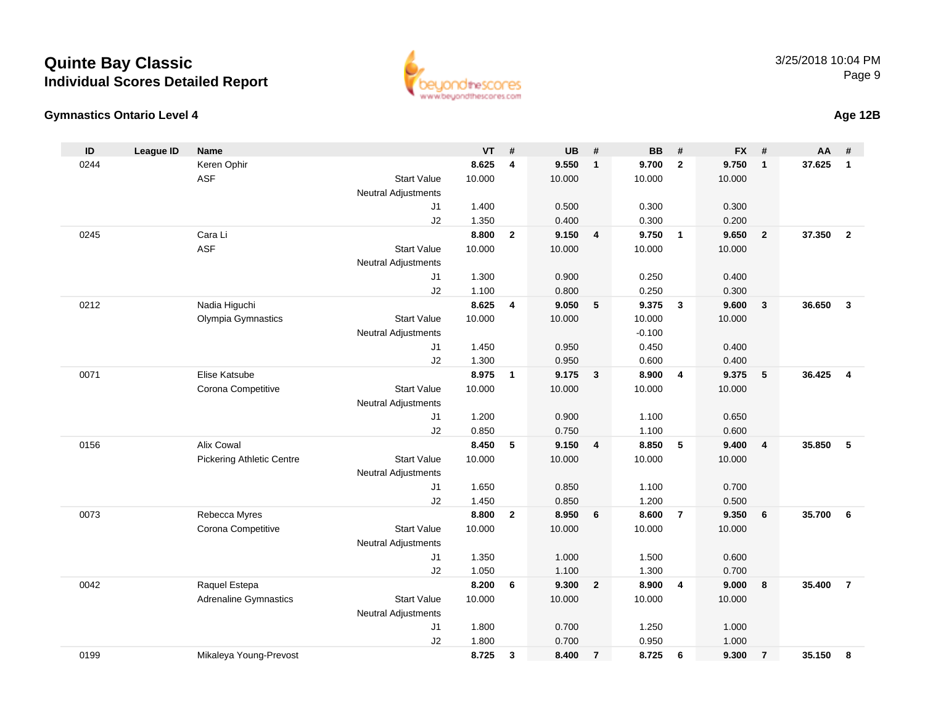#### **Gymnastics Ontario Level 4**

| ID   | League ID | <b>Name</b>                      |                            | <b>VT</b> | #            | <b>UB</b> | #              | <b>BB</b> | #              | <b>FX</b> | #                       | AA     | #                       |
|------|-----------|----------------------------------|----------------------------|-----------|--------------|-----------|----------------|-----------|----------------|-----------|-------------------------|--------|-------------------------|
| 0244 |           | Keren Ophir                      |                            | 8.625     | 4            | 9.550     | $\overline{1}$ | 9.700     | $\overline{2}$ | 9.750     | $\overline{1}$          | 37.625 | $\mathbf{1}$            |
|      |           | <b>ASF</b>                       | <b>Start Value</b>         | 10.000    |              | 10.000    |                | 10.000    |                | 10.000    |                         |        |                         |
|      |           |                                  | Neutral Adjustments        |           |              |           |                |           |                |           |                         |        |                         |
|      |           |                                  | J1                         | 1.400     |              | 0.500     |                | 0.300     |                | 0.300     |                         |        |                         |
|      |           |                                  | J2                         | 1.350     |              | 0.400     |                | 0.300     |                | 0.200     |                         |        |                         |
| 0245 |           | Cara Li                          |                            | 8.800     | $\mathbf{2}$ | 9.150     | 4              | 9.750     | $\overline{1}$ | 9.650     | $\overline{\mathbf{2}}$ | 37.350 | $\overline{\mathbf{2}}$ |
|      |           | <b>ASF</b>                       | <b>Start Value</b>         | 10.000    |              | 10.000    |                | 10.000    |                | 10.000    |                         |        |                         |
|      |           |                                  | Neutral Adjustments        |           |              |           |                |           |                |           |                         |        |                         |
|      |           |                                  | J1                         | 1.300     |              | 0.900     |                | 0.250     |                | 0.400     |                         |        |                         |
|      |           |                                  | J2                         | 1.100     |              | 0.800     |                | 0.250     |                | 0.300     |                         |        |                         |
| 0212 |           | Nadia Higuchi                    |                            | 8.625     | 4            | 9.050     | 5              | 9.375     | $\mathbf{3}$   | 9.600     | $\mathbf{3}$            | 36.650 | $\mathbf{3}$            |
|      |           | Olympia Gymnastics               | <b>Start Value</b>         | 10.000    |              | 10.000    |                | 10.000    |                | 10.000    |                         |        |                         |
|      |           |                                  | Neutral Adjustments        |           |              |           |                | $-0.100$  |                |           |                         |        |                         |
|      |           |                                  | J1                         | 1.450     |              | 0.950     |                | 0.450     |                | 0.400     |                         |        |                         |
|      |           |                                  | J2                         | 1.300     |              | 0.950     |                | 0.600     |                | 0.400     |                         |        |                         |
| 0071 |           | Elise Katsube                    |                            | 8.975     | $\mathbf{1}$ | 9.175     | $\overline{3}$ | 8.900     | $\overline{4}$ | 9.375     | 5                       | 36.425 | $\overline{4}$          |
|      |           | Corona Competitive               | <b>Start Value</b>         | 10.000    |              | 10.000    |                | 10.000    |                | 10.000    |                         |        |                         |
|      |           |                                  | <b>Neutral Adjustments</b> |           |              |           |                |           |                |           |                         |        |                         |
|      |           |                                  | J1                         | 1.200     |              | 0.900     |                | 1.100     |                | 0.650     |                         |        |                         |
|      |           |                                  | J2                         | 0.850     |              | 0.750     |                | 1.100     |                | 0.600     |                         |        |                         |
| 0156 |           | Alix Cowal                       |                            | 8.450     | 5            | 9.150     | $\overline{4}$ | 8.850     | 5              | 9.400     | $\overline{4}$          | 35.850 | 5                       |
|      |           | <b>Pickering Athletic Centre</b> | <b>Start Value</b>         | 10.000    |              | 10.000    |                | 10.000    |                | 10.000    |                         |        |                         |
|      |           |                                  | Neutral Adjustments        |           |              |           |                |           |                |           |                         |        |                         |
|      |           |                                  | J1                         | 1.650     |              | 0.850     |                | 1.100     |                | 0.700     |                         |        |                         |
|      |           |                                  | J2                         | 1.450     |              | 0.850     |                | 1.200     |                | 0.500     |                         |        |                         |
| 0073 |           | Rebecca Myres                    |                            | 8.800     | $\mathbf{2}$ | 8.950     | 6              | 8.600     | $\overline{7}$ | 9.350     | 6                       | 35.700 | - 6                     |
|      |           | Corona Competitive               | <b>Start Value</b>         | 10.000    |              | 10.000    |                | 10.000    |                | 10.000    |                         |        |                         |
|      |           |                                  | Neutral Adjustments        |           |              |           |                |           |                |           |                         |        |                         |
|      |           |                                  | J1                         | 1.350     |              | 1.000     |                | 1.500     |                | 0.600     |                         |        |                         |
|      |           |                                  | J2                         | 1.050     |              | 1.100     |                | 1.300     |                | 0.700     |                         |        |                         |
| 0042 |           | Raquel Estepa                    |                            | 8.200     | 6            | 9.300     | $\overline{2}$ | 8.900     | 4              | 9.000     | 8                       | 35,400 | $\overline{7}$          |
|      |           | <b>Adrenaline Gymnastics</b>     | <b>Start Value</b>         | 10.000    |              | 10.000    |                | 10.000    |                | 10.000    |                         |        |                         |
|      |           |                                  | Neutral Adjustments        |           |              |           |                |           |                |           |                         |        |                         |
|      |           |                                  | J1                         | 1.800     |              | 0.700     |                | 1.250     |                | 1.000     |                         |        |                         |
|      |           |                                  | J2                         | 1.800     |              | 0.700     |                | 0.950     |                | 1.000     |                         |        |                         |
| 0199 |           | Mikaleya Young-Prevost           |                            | 8.725     | 3            | 8.400     | $\overline{7}$ | 8.725     | 6              | 9.300     | $\overline{7}$          | 35.150 | 8                       |

www.beyondthescores.com

**Age 12B**